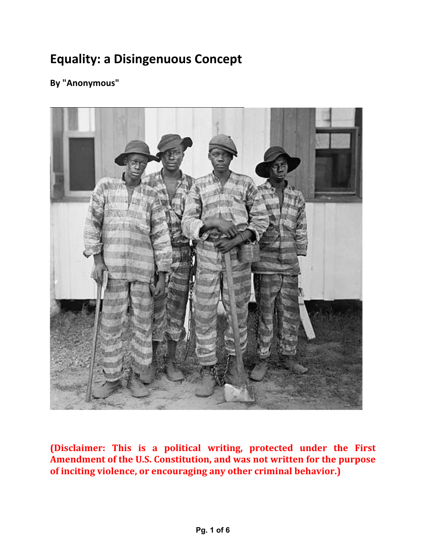## **Equality: a Disingenuous Concept**

**By "Anonymous"**



**(Disclaimer: This is a political writing, protected under the First Amendment of the U.S. Constitution, and was not written for the purpose of inciting violence, or encouraging any other criminal behavior.)**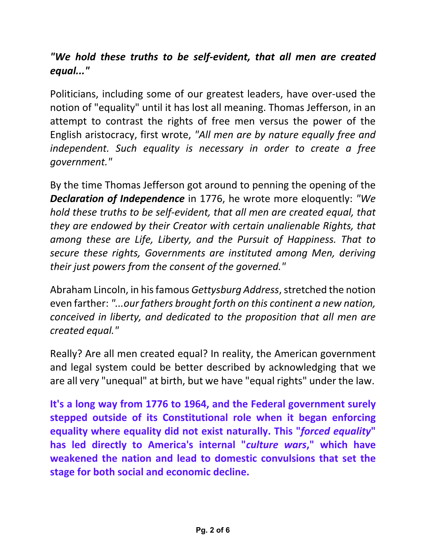## *"We hold these truths to be self‐evident, that all men are created equal..."*

Politicians, including some of our greatest leaders, have over‐used the notion of "equality" until it has lost all meaning. Thomas Jefferson, in an attempt to contrast the rights of free men versus the power of the English aristocracy, first wrote, *"All men are by nature equally free and independent. Such equality is necessary in order to create a free government."*

By the time Thomas Jefferson got around to penning the opening of the *Declaration of Independence* in 1776, he wrote more eloquently: *"We hold these truths to be self‐evident, that all men are created equal, that they are endowed by their Creator with certain unalienable Rights, that among these are Life, Liberty, and the Pursuit of Happiness. That to secure these rights, Governments are instituted among Men, deriving their just powers from the consent of the governed."*

Abraham Lincoln, in his famous *Gettysburg Address*, stretched the notion even farther: *"...our fathers brought forth on this continent a new nation, conceived in liberty, and dedicated to the proposition that all men are created equal."*

Really? Are all men created equal? In reality, the American government and legal system could be better described by acknowledging that we are all very "unequal" at birth, but we have "equal rights" under the law.

**It's a long way from 1776 to 1964, and the Federal government surely stepped outside of its Constitutional role when it began enforcing equality where equality did not exist naturally. This "***forced equality***" has led directly to America's internal "***culture wars***," which have weakened the nation and lead to domestic convulsions that set the stage for both social and economic decline.**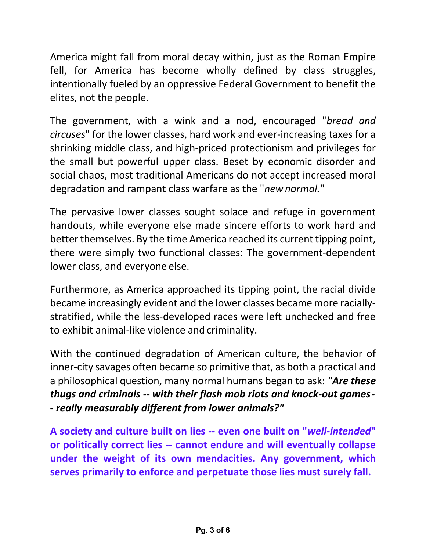America might fall from moral decay within, just as the Roman Empire fell, for America has become wholly defined by class struggles, intentionally fueled by an oppressive Federal Government to benefit the elites, not the people.

The government, with a wink and a nod, encouraged "*bread and circuses*" for the lower classes, hard work and ever‐increasing taxes for a shrinking middle class, and high‐priced protectionism and privileges for the small but powerful upper class. Beset by economic disorder and social chaos, most traditional Americans do not accept increased moral degradation and rampant class warfare as the "*newnormal.*"

The pervasive lower classes sought solace and refuge in government handouts, while everyone else made sincere efforts to work hard and better themselves. By the time America reached its current tipping point, there were simply two functional classes: The government‐dependent lower class, and everyone else.

Furthermore, as America approached its tipping point, the racial divide became increasingly evident and the lower classes became more racially‐ stratified, while the less‐developed races were left unchecked and free to exhibit animal‐like violence and criminality.

With the continued degradation of American culture, the behavior of inner‐city savages often became so primitive that, as both a practical and a philosophical question, many normal humans began to ask: *"Are these thugs and criminals ‐‐ with their flash mob riots and knock‐out games ‐ ‐ really measurably different from lower animals?"*

**A society and culture built on lies ‐‐ even one built on "***well‐intended***" or politically correct lies ‐‐ cannot endure and will eventually collapse under the weight of its own mendacities. Any government, which serves primarily to enforce and perpetuate those lies must surely fall.**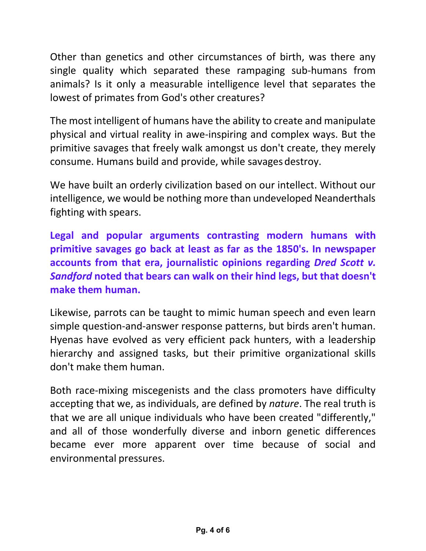Other than genetics and other circumstances of birth, was there any single quality which separated these rampaging sub-humans from animals? Is it only a measurable intelligence level that separates the lowest of primates from God's other creatures?

The most intelligent of humans have the ability to create and manipulate physical and virtual reality in awe‐inspiring and complex ways. But the primitive savages that freely walk amongst us don't create, they merely consume. Humans build and provide, while savages destroy.

We have built an orderly civilization based on our intellect. Without our intelligence, we would be nothing more than undeveloped Neanderthals fighting with spears.

**Legal and popular arguments contrasting modern humans with primitive savages go back at least as far as the 1850's. In newspaper accounts from that era, journalistic opinions regarding** *Dred Scott v. Sandford* **noted that bears can walk on their hind legs, but that doesn't make them human.**

Likewise, parrots can be taught to mimic human speech and even learn simple question-and-answer response patterns, but birds aren't human. Hyenas have evolved as very efficient pack hunters, with a leadership hierarchy and assigned tasks, but their primitive organizational skills don't make them human.

Both race‐mixing miscegenists and the class promoters have difficulty accepting that we, as individuals, are defined by *nature*. The real truth is that we are all unique individuals who have been created "differently," and all of those wonderfully diverse and inborn genetic differences became ever more apparent over time because of social and environmental pressures.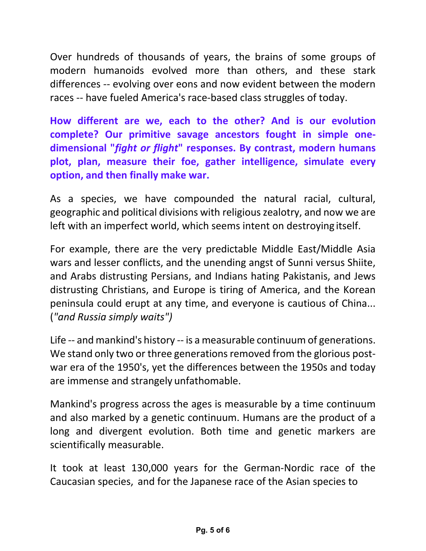Over hundreds of thousands of years, the brains of some groups of modern humanoids evolved more than others, and these stark differences ‐‐ evolving over eons and now evident between the modern races ‐‐ have fueled America's race‐based class struggles of today.

**How different are we, each to the other? And is our evolution complete? Our primitive savage ancestors fought in simple one‐ dimensional "***fight or flight***" responses. By contrast, modern humans plot, plan, measure their foe, gather intelligence, simulate every option, and then finally make war.**

As a species, we have compounded the natural racial, cultural, geographic and political divisions with religiouszealotry, and now we are left with an imperfect world, which seems intent on destroying itself.

For example, there are the very predictable Middle East/Middle Asia wars and lesser conflicts, and the unending angst of Sunni versus Shiite, and Arabs distrusting Persians, and Indians hating Pakistanis, and Jews distrusting Christians, and Europe is tiring of America, and the Korean peninsula could erupt at any time, and everyone is cautious of China... (*"and Russia simply waits")*

Life -- and mankind's history -- is a measurable continuum of generations. We stand only two or three generations removed from the glorious postwar era of the 1950's, yet the differences between the 1950s and today are immense and strangely unfathomable.

Mankind's progress across the ages is measurable by a time continuum and also marked by a genetic continuum. Humans are the product of a long and divergent evolution. Both time and genetic markers are scientifically measurable.

It took at least 130,000 years for the German‐Nordic race of the Caucasian species, and for the Japanese race of the Asian species to